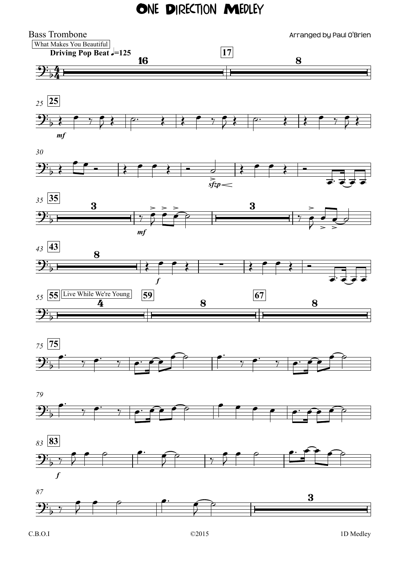## ONE DIRECTION MEDLEY